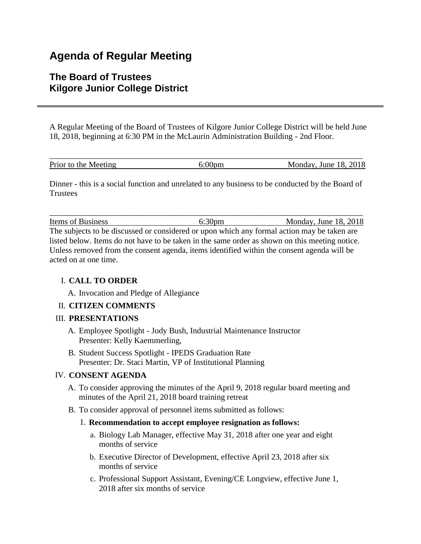# **Agenda of Regular Meeting**

# **The Board of Trustees Kilgore Junior College District**

A Regular Meeting of the Board of Trustees of Kilgore Junior College District will be held June 18, 2018, beginning at 6:30 PM in the McLaurin Administration Building - 2nd Floor.

| Prior to the Meeting | Monday, June 18, 2018 |
|----------------------|-----------------------|

Dinner - this is a social function and unrelated to any business to be conducted by the Board of **Trustees** 

\_\_\_\_\_\_\_\_\_\_\_\_\_\_\_\_\_\_\_\_\_\_\_\_\_\_\_\_\_\_\_\_\_\_\_\_\_\_\_\_\_\_\_\_\_\_\_\_\_\_\_\_\_\_\_\_\_\_\_\_\_\_\_\_\_\_\_\_\_\_\_\_\_\_\_\_

Items of Business 6:30pm Monday, June 18, 2018 The subjects to be discussed or considered or upon which any formal action may be taken are listed below. Items do not have to be taken in the same order as shown on this meeting notice. Unless removed from the consent agenda, items identified within the consent agenda will be acted on at one time.

## I. **CALL TO ORDER**

A. Invocation and Pledge of Allegiance

## II. **CITIZEN COMMENTS**

#### III. **PRESENTATIONS**

- A. Employee Spotlight Jody Bush, Industrial Maintenance Instructor Presenter: Kelly Kaemmerling,
- B. Student Success Spotlight IPEDS Graduation Rate Presenter: Dr. Staci Martin, VP of Institutional Planning

#### IV. **CONSENT AGENDA**

- A. To consider approving the minutes of the April 9, 2018 regular board meeting and minutes of the April 21, 2018 board training retreat
- B. To consider approval of personnel items submitted as follows:

#### 1. **Recommendation to accept employee resignation as follows:**

- a. Biology Lab Manager, effective May 31, 2018 after one year and eight months of service
- b. Executive Director of Development, effective April 23, 2018 after six months of service
- c. Professional Support Assistant, Evening/CE Longview, effective June 1, 2018 after six months of service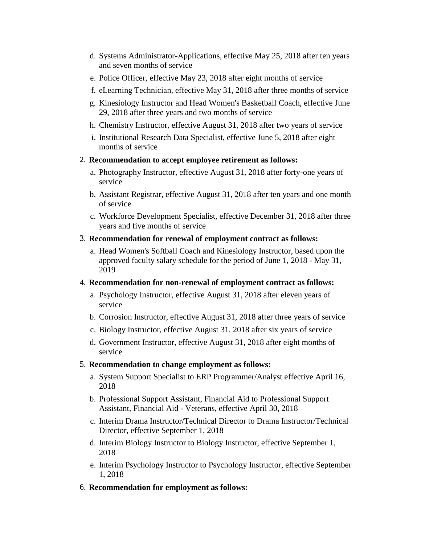- d. Systems Administrator-Applications, effective May 25, 2018 after ten years and seven months of service
- e. Police Officer, effective May 23, 2018 after eight months of service
- f. eLearning Technician, effective May 31, 2018 after three months of service
- g. Kinesiology Instructor and Head Women's Basketball Coach, effective June 29, 2018 after three years and two months of service
- h. Chemistry Instructor, effective August 31, 2018 after two years of service
- i. Institutional Research Data Specialist, effective June 5, 2018 after eight months of service
- 2. **Recommendation to accept employee retirement as follows:**
	- a. Photography Instructor, effective August 31, 2018 after forty-one years of service
	- b. Assistant Registrar, effective August 31, 2018 after ten years and one month of service
	- c. Workforce Development Specialist, effective December 31, 2018 after three years and five months of service
- 3. **Recommendation for renewal of employment contract as follows:**
	- a. Head Women's Softball Coach and Kinesiology Instructor, based upon the approved faculty salary schedule for the period of June 1, 2018 - May 31, 2019
- 4. **Recommendation for non-renewal of employment contract as follows:**
	- a. Psychology Instructor, effective August 31, 2018 after eleven years of service
	- b. Corrosion Instructor, effective August 31, 2018 after three years of service
	- c. Biology Instructor, effective August 31, 2018 after six years of service
	- d. Government Instructor, effective August 31, 2018 after eight months of service
- 5. **Recommendation to change employment as follows:**
	- a. System Support Specialist to ERP Programmer/Analyst effective April 16, 2018
	- b. Professional Support Assistant, Financial Aid to Professional Support Assistant, Financial Aid - Veterans, effective April 30, 2018
	- c. Interim Drama Instructor/Technical Director to Drama Instructor/Technical Director, effective September 1, 2018
	- d. Interim Biology Instructor to Biology Instructor, effective September 1, 2018
	- e. Interim Psychology Instructor to Psychology Instructor, effective September 1, 2018
- 6. **Recommendation for employment as follows:**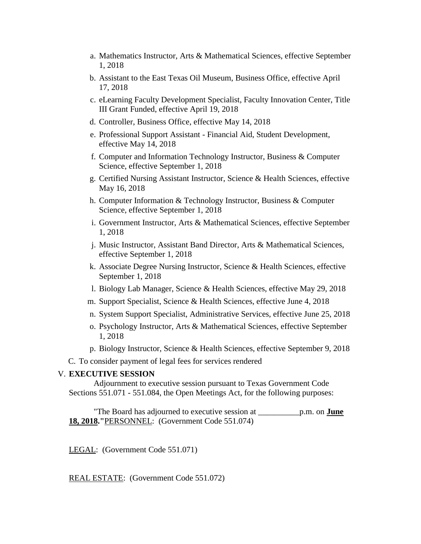- a. Mathematics Instructor, Arts & Mathematical Sciences, effective September 1, 2018
- b. Assistant to the East Texas Oil Museum, Business Office, effective April 17, 2018
- c. eLearning Faculty Development Specialist, Faculty Innovation Center, Title III Grant Funded, effective April 19, 2018
- d. Controller, Business Office, effective May 14, 2018
- e. Professional Support Assistant Financial Aid, Student Development, effective May 14, 2018
- f. Computer and Information Technology Instructor, Business & Computer Science, effective September 1, 2018
- g. Certified Nursing Assistant Instructor, Science & Health Sciences, effective May 16, 2018
- h. Computer Information & Technology Instructor, Business & Computer Science, effective September 1, 2018
- i. Government Instructor, Arts & Mathematical Sciences, effective September 1, 2018
- j. Music Instructor, Assistant Band Director, Arts & Mathematical Sciences, effective September 1, 2018
- k. Associate Degree Nursing Instructor, Science & Health Sciences, effective September 1, 2018
- l. Biology Lab Manager, Science & Health Sciences, effective May 29, 2018
- m. Support Specialist, Science & Health Sciences, effective June 4, 2018
- n. System Support Specialist, Administrative Services, effective June 25, 2018
- o. Psychology Instructor, Arts & Mathematical Sciences, effective September 1, 2018
- p. Biology Instructor, Science & Health Sciences, effective September 9, 2018
- C. To consider payment of legal fees for services rendered

#### V. **EXECUTIVE SESSION**

 Adjournment to executive session pursuant to Texas Government Code Sections 551.071 - 551.084, the Open Meetings Act, for the following purposes:

 "The Board has adjourned to executive session at \_\_\_\_\_\_\_\_\_\_p.m. on **June 18, 2018."**PERSONNEL: (Government Code 551.074)

LEGAL: (Government Code 551.071)

REAL ESTATE: (Government Code 551.072)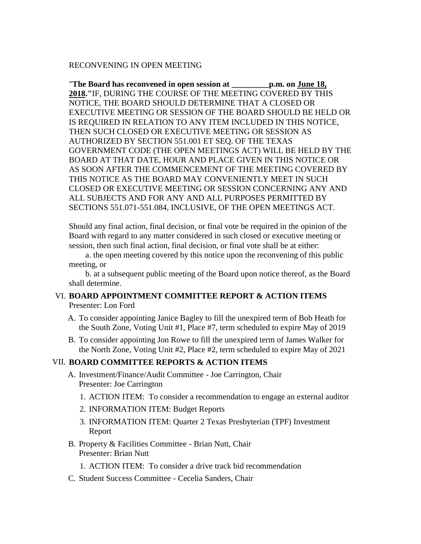#### RECONVENING IN OPEN MEETING

"**The Board has reconvened in open session at \_\_\_\_\_\_\_\_\_p.m. on June 18, 2018."**IF, DURING THE COURSE OF THE MEETING COVERED BY THIS NOTICE, THE BOARD SHOULD DETERMINE THAT A CLOSED OR EXECUTIVE MEETING OR SESSION OF THE BOARD SHOULD BE HELD OR IS REQUIRED IN RELATION TO ANY ITEM INCLUDED IN THIS NOTICE, THEN SUCH CLOSED OR EXECUTIVE MEETING OR SESSION AS AUTHORIZED BY SECTION 551.001 ET SEQ. OF THE TEXAS GOVERNMENT CODE (THE OPEN MEETINGS ACT) WILL BE HELD BY THE BOARD AT THAT DATE, HOUR AND PLACE GIVEN IN THIS NOTICE OR AS SOON AFTER THE COMMENCEMENT OF THE MEETING COVERED BY THIS NOTICE AS THE BOARD MAY CONVENIENTLY MEET IN SUCH CLOSED OR EXECUTIVE MEETING OR SESSION CONCERNING ANY AND ALL SUBJECTS AND FOR ANY AND ALL PURPOSES PERMITTED BY SECTIONS 551.071-551.084, INCLUSIVE, OF THE OPEN MEETINGS ACT.

Should any final action, final decision, or final vote be required in the opinion of the Board with regard to any matter considered in such closed or executive meeting or session, then such final action, final decision, or final vote shall be at either:

 a. the open meeting covered by this notice upon the reconvening of this public meeting, or

 b. at a subsequent public meeting of the Board upon notice thereof, as the Board shall determine.

#### VI. **BOARD APPOINTMENT COMMITTEE REPORT & ACTION ITEMS** Presenter: Lon Ford

- A. To consider appointing Janice Bagley to fill the unexpired term of Bob Heath for the South Zone, Voting Unit #1, Place #7, term scheduled to expire May of 2019
- B. To consider appointing Jon Rowe to fill the unexpired term of James Walker for the North Zone, Voting Unit #2, Place #2, term scheduled to expire May of 2021

#### VII. **BOARD COMMITTEE REPORTS & ACTION ITEMS**

- A. Investment/Finance/Audit Committee Joe Carrington, Chair Presenter: Joe Carrington
	- 1. ACTION ITEM: To consider a recommendation to engage an external auditor
	- 2. INFORMATION ITEM: Budget Reports
	- 3. INFORMATION ITEM: Quarter 2 Texas Presbyterian (TPF) Investment Report
- B. Property & Facilities Committee Brian Nutt, Chair Presenter: Brian Nutt
	- 1. ACTION ITEM: To consider a drive track bid recommendation
- C. Student Success Committee Cecelia Sanders, Chair